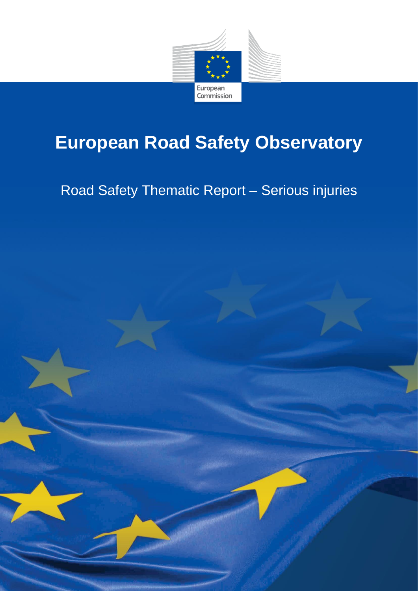

# **European Road Safety Observatory**

# Road Safety Thematic Report – Serious injuries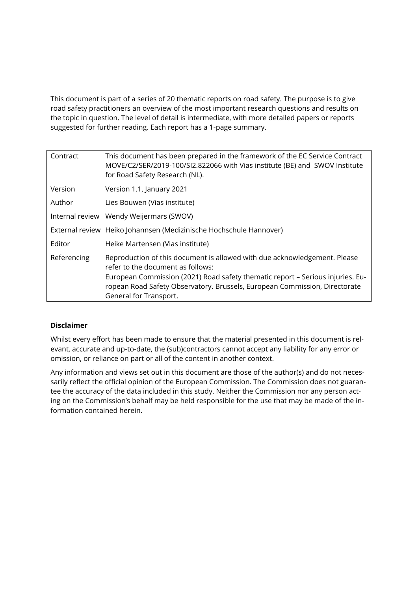This document is part of a series of 20 thematic reports on road safety. The purpose is to give road safety practitioners an overview of the most important research questions and results on the topic in question. The level of detail is intermediate, with more detailed papers or reports suggested for further reading. Each report has a 1-page summary.

| Contract    | This document has been prepared in the framework of the EC Service Contract<br>MOVE/C2/SER/2019-100/SI2.822066 with Vias institute (BE) and SWOV Institute<br>for Road Safety Research (NL).                                                                                                             |  |
|-------------|----------------------------------------------------------------------------------------------------------------------------------------------------------------------------------------------------------------------------------------------------------------------------------------------------------|--|
| Version     | Version 1.1, January 2021                                                                                                                                                                                                                                                                                |  |
| Author      | Lies Bouwen (Vias institute)                                                                                                                                                                                                                                                                             |  |
|             | Internal review Wendy Weijermars (SWOV)                                                                                                                                                                                                                                                                  |  |
|             | External review Heiko Johannsen (Medizinische Hochschule Hannover)                                                                                                                                                                                                                                       |  |
| Editor      | Heike Martensen (Vias institute)                                                                                                                                                                                                                                                                         |  |
| Referencing | Reproduction of this document is allowed with due acknowledgement. Please<br>refer to the document as follows:<br>European Commission (2021) Road safety thematic report - Serious injuries. Eu-<br>ropean Road Safety Observatory. Brussels, European Commission, Directorate<br>General for Transport. |  |

#### **Disclaimer**

Whilst every effort has been made to ensure that the material presented in this document is relevant, accurate and up-to-date, the (sub)contractors cannot accept any liability for any error or omission, or reliance on part or all of the content in another context.

Any information and views set out in this document are those of the author(s) and do not necessarily reflect the official opinion of the European Commission. The Commission does not guarantee the accuracy of the data included in this study. Neither the Commission nor any person acting on the Commission's behalf may be held responsible for the use that may be made of the information contained herein.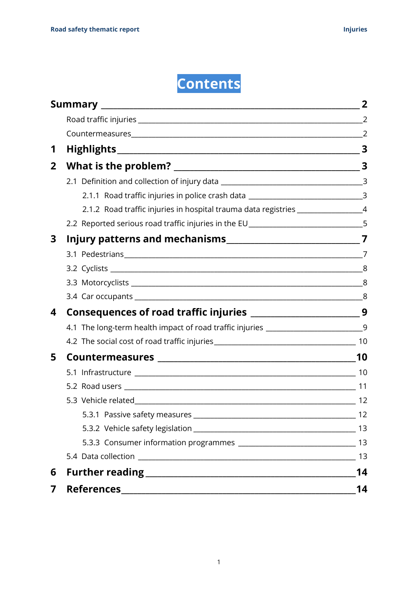# **Contents**

| 1            |                                                                                    |    |
|--------------|------------------------------------------------------------------------------------|----|
| $\mathbf{2}$ |                                                                                    |    |
|              |                                                                                    |    |
|              | 2.1.1 Road traffic injuries in police crash data _______________________________3  |    |
|              | 2.1.2 Road traffic injuries in hospital trauma data registries _________________4  |    |
|              | 2.2 Reported serious road traffic injuries in the EU____________________________5  |    |
| 3            |                                                                                    |    |
|              |                                                                                    |    |
|              |                                                                                    |    |
|              |                                                                                    |    |
|              |                                                                                    |    |
| 4            |                                                                                    |    |
|              | 4.1 The long-term health impact of road traffic injuries ________________________9 |    |
|              |                                                                                    |    |
| 5            |                                                                                    |    |
|              |                                                                                    |    |
|              |                                                                                    |    |
|              |                                                                                    | 12 |
|              |                                                                                    |    |
|              |                                                                                    |    |
|              |                                                                                    |    |
|              |                                                                                    |    |
| 6            |                                                                                    | 14 |
| 7            |                                                                                    | 14 |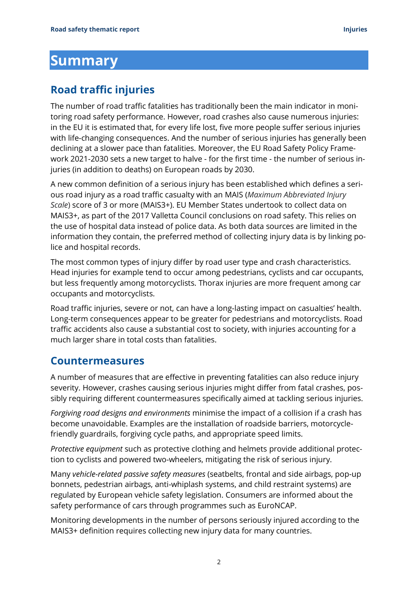## <span id="page-3-0"></span>**Summary**

### <span id="page-3-1"></span>**Road traffic injuries**

The number of road traffic fatalities has traditionally been the main indicator in monitoring road safety performance. However, road crashes also cause numerous injuries: in the EU it is estimated that, for every life lost, five more people suffer serious injuries with life-changing consequences. And the number of serious injuries has generally been declining at a slower pace than fatalities. Moreover, the EU Road Safety Policy Framework 2021-2030 sets a new target to halve - for the first time - the number of serious injuries (in addition to deaths) on European roads by 2030.

A new common definition of a serious injury has been established which defines a serious road injury as a road traffic casualty with an MAIS (*Maximum Abbreviated Injury Scale*) score of 3 or more (MAIS3+). EU Member States undertook to collect data on MAIS3+, as part of the 2017 Valletta Council conclusions on road safety. This relies on the use of hospital data instead of police data. As both data sources are limited in the information they contain, the preferred method of collecting injury data is by linking police and hospital records.

The most common types of injury differ by road user type and crash characteristics. Head injuries for example tend to occur among pedestrians, cyclists and car occupants, but less frequently among motorcyclists. Thorax injuries are more frequent among car occupants and motorcyclists.

Road traffic injuries, severe or not, can have a long-lasting impact on casualties' health. Long-term consequences appear to be greater for pedestrians and motorcyclists. Road traffic accidents also cause a substantial cost to society, with injuries accounting for a much larger share in total costs than fatalities.

### <span id="page-3-2"></span>**Countermeasures**

A number of measures that are effective in preventing fatalities can also reduce injury severity. However, crashes causing serious injuries might differ from fatal crashes, possibly requiring different countermeasures specifically aimed at tackling serious injuries.

*Forgiving road designs and environments* minimise the impact of a collision if a crash has become unavoidable. Examples are the installation of roadside barriers, motorcyclefriendly guardrails, forgiving cycle paths, and appropriate speed limits.

*Protective equipment* such as protective clothing and helmets provide additional protection to cyclists and powered two-wheelers, mitigating the risk of serious injury.

Many *vehicle-related passive safety measures* (seatbelts, frontal and side airbags, pop-up bonnets, pedestrian airbags, anti-whiplash systems, and child restraint systems) are regulated by European vehicle safety legislation. Consumers are informed about the safety performance of cars through programmes such as EuroNCAP.

Monitoring developments in the number of persons seriously injured according to the MAIS3+ definition requires collecting new injury data for many countries.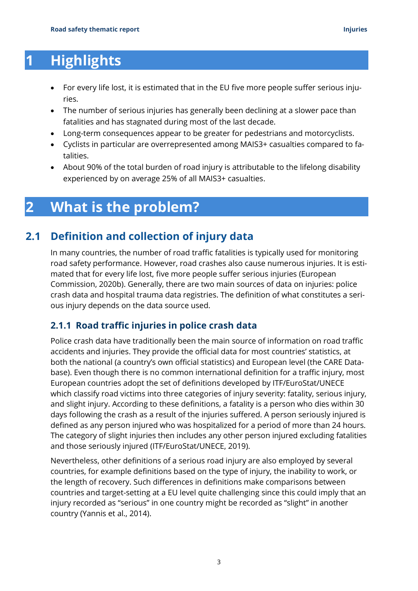# <span id="page-4-0"></span>**1 Highlights**

- For every life lost, it is estimated that in the EU five more people suffer serious injuries.
- The number of serious injuries has generally been declining at a slower pace than fatalities and has stagnated during most of the last decade.
- Long-term consequences appear to be greater for pedestrians and motorcyclists.
- Cyclists in particular are overrepresented among MAIS3+ casualties compared to fatalities.
- About 90% of the total burden of road injury is attributable to the lifelong disability experienced by on average 25% of all MAIS3+ casualties.

## <span id="page-4-1"></span>**2 What is the problem?**

### **2.1 Definition and collection of injury data**

<span id="page-4-2"></span>In many countries, the number of road traffic fatalities is typically used for monitoring road safety performance. However, road crashes also cause numerous injuries. It is estimated that for every life lost, five more people suffer serious injuries (European Commission, 2020b). Generally, there are two main sources of data on injuries: police crash data and hospital trauma data registries. The definition of what constitutes a serious injury depends on the data source used.

### <span id="page-4-3"></span>**2.1.1 Road traffic injuries in police crash data**

Police crash data have traditionally been the main source of information on road traffic accidents and injuries. They provide the official data for most countries' statistics, at both the national (a country's own official statistics) and European level (the CARE Database). Even though there is no common international definition for a traffic injury, most European countries adopt the set of definitions developed by ITF/EuroStat/UNECE which classify road victims into three categories of injury severity: fatality, serious injury, and slight injury. According to these definitions, a fatality is a person who dies within 30 days following the crash as a result of the injuries suffered. A person seriously injured is defined as any person injured who was hospitalized for a period of more than 24 hours. The category of slight injuries then includes any other person injured excluding fatalities and those seriously injured (ITF/EuroStat/UNECE, 2019).

Nevertheless, other definitions of a serious road injury are also employed by several countries, for example definitions based on the type of injury, the inability to work, or the length of recovery. Such differences in definitions make comparisons between countries and target-setting at a EU level quite challenging since this could imply that an injury recorded as "serious" in one country might be recorded as "slight" in another country (Yannis et al., 2014).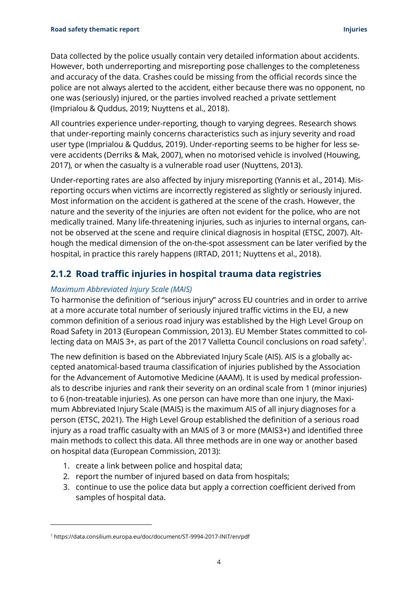Data collected by the police usually contain very detailed information about accidents. However, both underreporting and misreporting pose challenges to the completeness and accuracy of the data. Crashes could be missing from the official records since the police are not always alerted to the accident, either because there was no opponent, no one was (seriously) injured, or the parties involved reached a private settlement (Imprialou & Quddus, 2019; Nuyttens et al., 2018).

All countries experience under-reporting, though to varying degrees. Research shows that under-reporting mainly concerns characteristics such as injury severity and road user type (Imprialou & Quddus, 2019). Under-reporting seems to be higher for less severe accidents (Derriks & Mak, 2007), when no motorised vehicle is involved (Houwing, 2017), or when the casualty is a vulnerable road user (Nuyttens, 2013).

Under-reporting rates are also affected by injury misreporting (Yannis et al., 2014). Misreporting occurs when victims are incorrectly registered as slightly or seriously injured. Most information on the accident is gathered at the scene of the crash. However, the nature and the severity of the injuries are often not evident for the police, who are not medically trained. Many life-threatening injuries, such as injuries to internal organs, cannot be observed at the scene and require clinical diagnosis in hospital (ETSC, 2007). Although the medical dimension of the on-the-spot assessment can be later verified by the hospital, in practice this rarely happens (IRTAD, 2011; Nuyttens et al., 2018).

#### <span id="page-5-0"></span>**2.1.2 Road traffic injuries in hospital trauma data registries**

#### *Maximum Abbreviated Injury Scale (MAIS)*

To harmonise the definition of "serious injury" across EU countries and in order to arrive at a more accurate total number of seriously injured traffic victims in the EU, a new common definition of a serious road injury was established by the High Level Group on Road Safety in 2013 (European Commission, 2013). EU Member States committed to collecting data on MAIS 3+, as part of the 2017 Valletta Council conclusions on road safety<sup>1</sup>.

The new definition is based on the Abbreviated Injury Scale (AIS). AIS is a globally accepted anatomical-based trauma classification of injuries published by the Association for the Advancement of Automotive Medicine (AAAM). It is used by medical professionals to describe injuries and rank their severity on an ordinal scale from 1 (minor injuries) to 6 (non-treatable injuries). As one person can have more than one injury, the Maximum Abbreviated Injury Scale (MAIS) is the maximum AIS of all injury diagnoses for a person (ETSC, 2021). The High Level Group established the definition of a serious road injury as a road traffic casualty with an MAIS of 3 or more (MAIS3+) and identified three main methods to collect this data. All three methods are in one way or another based on hospital data (European Commission, 2013):

- 1. create a link between police and hospital data;
- 2. report the number of injured based on data from hospitals;
- 3. continue to use the police data but apply a correction coefficient derived from samples of hospital data.

<sup>1</sup> https://data.consilium.europa.eu/doc/document/ST-9994-2017-INIT/en/pdf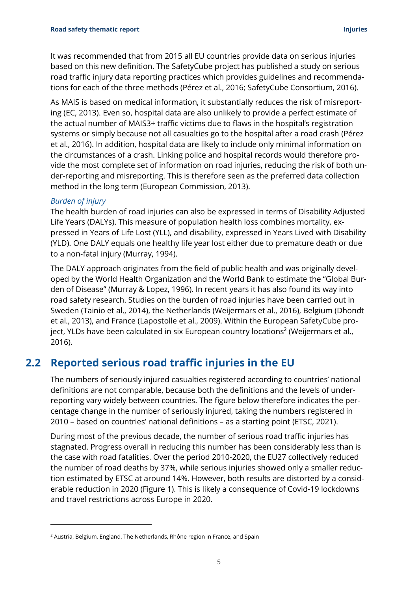It was recommended that from 2015 all EU countries provide data on serious injuries based on this new definition. The SafetyCube project has published a study on serious road traffic injury data reporting practices which provides guidelines and recommendations for each of the three methods (Pérez et al., 2016; SafetyCube Consortium, 2016).

As MAIS is based on medical information, it substantially reduces the risk of misreporting (EC, 2013). Even so, hospital data are also unlikely to provide a perfect estimate of the actual number of MAIS3+ traffic victims due to flaws in the hospital's registration systems or simply because not all casualties go to the hospital after a road crash (Pérez et al., 2016). In addition, hospital data are likely to include only minimal information on the circumstances of a crash. Linking police and hospital records would therefore provide the most complete set of information on road injuries, reducing the risk of both under-reporting and misreporting. This is therefore seen as the preferred data collection method in the long term (European Commission, 2013).

#### *Burden of injury*

The health burden of road injuries can also be expressed in terms of Disability Adjusted Life Years (DALYs). This measure of population health loss combines mortality, expressed in Years of Life Lost (YLL), and disability, expressed in Years Lived with Disability (YLD). One DALY equals one healthy life year lost either due to premature death or due to a non-fatal injury (Murray, 1994).

The DALY approach originates from the field of public health and was originally developed by the World Health Organization and the World Bank to estimate the "Global Burden of Disease" (Murray & Lopez, 1996). In recent years it has also found its way into road safety research. Studies on the burden of road injuries have been carried out in Sweden (Tainio et al., 2014), the Netherlands (Weijermars et al., 2016), Belgium (Dhondt et al., 2013), and France (Lapostolle et al., 2009). Within the European SafetyCube project, YLDs have been calculated in six European country locations $2$  (Weijermars et al., 2016).

### <span id="page-6-0"></span>**2.2 Reported serious road traffic injuries in the EU**

The numbers of seriously injured casualties registered according to countries' national definitions are not comparable, because both the definitions and the levels of underreporting vary widely between countries. The figure below therefore indicates the percentage change in the number of seriously injured, taking the numbers registered in 2010 – based on countries' national definitions – as a starting point (ETSC, 2021).

During most of the previous decade, the number of serious road traffic injuries has stagnated. Progress overall in reducing this number has been considerably less than is the case with road fatalities. Over the period 2010-2020, the EU27 collectively reduced the number of road deaths by 37%, while serious injuries showed only a smaller reduction estimated by ETSC at around 14%. However, both results are distorted by a considerable reduction in 2020 [\(Figure 1\)](#page-7-0). This is likely a consequence of Covid-19 lockdowns and travel restrictions across Europe in 2020.

<sup>&</sup>lt;sup>2</sup> Austria, Belgium, England, The Netherlands, Rhône region in France, and Spain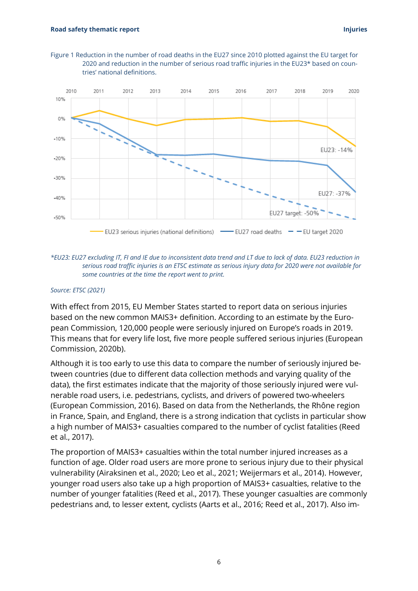<span id="page-7-0"></span>



*\*EU23: EU27 excluding IT, FI and IE due to inconsistent data trend and LT due to lack of data. EU23 reduction in serious road traffic injuries is an ETSC estimate as serious injury data for 2020 were not available for some countries at the time the report went to print.*

#### *Source: ETSC (2021)*

With effect from 2015, EU Member States started to report data on serious injuries based on the new common MAIS3+ definition. According to an estimate by the European Commission, 120,000 people were seriously injured on Europe's roads in 2019. This means that for every life lost, five more people suffered serious injuries (European Commission, 2020b).

Although it is too early to use this data to compare the number of seriously injured between countries (due to different data collection methods and varying quality of the data), the first estimates indicate that the majority of those seriously injured were vulnerable road users, i.e. pedestrians, cyclists, and drivers of powered two-wheelers (European Commission, 2016). Based on data from the Netherlands, the Rhône region in France, Spain, and England, there is a strong indication that cyclists in particular show a high number of MAIS3+ casualties compared to the number of cyclist fatalities (Reed et al., 2017).

The proportion of MAIS3+ casualties within the total number injured increases as a function of age. Older road users are more prone to serious injury due to their physical vulnerability (Airaksinen et al., 2020; Leo et al., 2021; Weijermars et al., 2014). However, younger road users also take up a high proportion of MAIS3+ casualties, relative to the number of younger fatalities (Reed et al., 2017). These younger casualties are commonly pedestrians and, to lesser extent, cyclists (Aarts et al., 2016; Reed et al., 2017). Also im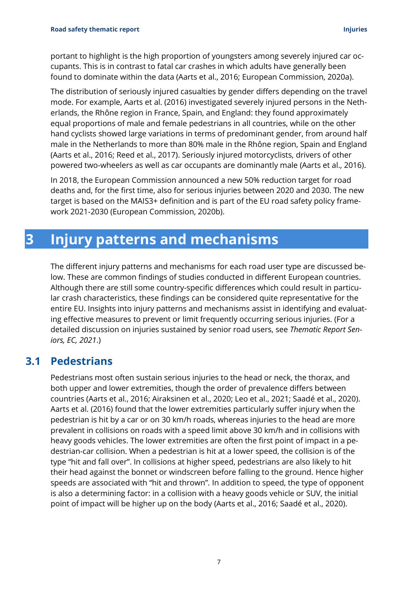portant to highlight is the high proportion of youngsters among severely injured car occupants. This is in contrast to fatal car crashes in which adults have generally been found to dominate within the data (Aarts et al., 2016; European Commission, 2020a).

The distribution of seriously injured casualties by gender differs depending on the travel mode. For example, Aarts et al. (2016) investigated severely injured persons in the Netherlands, the Rhône region in France, Spain, and England: they found approximately equal proportions of male and female pedestrians in all countries, while on the other hand cyclists showed large variations in terms of predominant gender, from around half male in the Netherlands to more than 80% male in the Rhône region, Spain and England (Aarts et al., 2016; Reed et al., 2017). Seriously injured motorcyclists, drivers of other powered two-wheelers as well as car occupants are dominantly male (Aarts et al., 2016).

In 2018, the European Commission announced a new 50% reduction target for road deaths and, for the first time, also for serious injuries between 2020 and 2030. The new target is based on the MAIS3+ definition and is part of the EU road safety policy framework 2021-2030 (European Commission, 2020b).

## <span id="page-8-0"></span>**3 Injury patterns and mechanisms**

The different injury patterns and mechanisms for each road user type are discussed below. These are common findings of studies conducted in different European countries. Although there are still some country-specific differences which could result in particular crash characteristics, these findings can be considered quite representative for the entire EU. Insights into injury patterns and mechanisms assist in identifying and evaluating effective measures to prevent or limit frequently occurring serious injuries. (For a detailed discussion on injuries sustained by senior road users, see *Thematic Report Seniors, EC, 2021*.)

### <span id="page-8-1"></span>**3.1 Pedestrians**

Pedestrians most often sustain serious injuries to the head or neck, the thorax, and both upper and lower extremities, though the order of prevalence differs between countries (Aarts et al., 2016; Airaksinen et al., 2020; Leo et al., 2021; Saadé et al., 2020). Aarts et al. (2016) found that the lower extremities particularly suffer injury when the pedestrian is hit by a car or on 30 km/h roads, whereas injuries to the head are more prevalent in collisions on roads with a speed limit above 30 km/h and in collisions with heavy goods vehicles. The lower extremities are often the first point of impact in a pedestrian-car collision. When a pedestrian is hit at a lower speed, the collision is of the type "hit and fall over". In collisions at higher speed, pedestrians are also likely to hit their head against the bonnet or windscreen before falling to the ground. Hence higher speeds are associated with "hit and thrown". In addition to speed, the type of opponent is also a determining factor: in a collision with a heavy goods vehicle or SUV, the initial point of impact will be higher up on the body (Aarts et al., 2016; Saadé et al., 2020).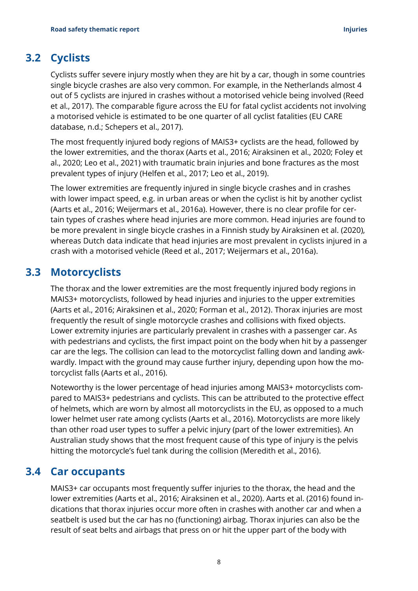### **3.2 Cyclists**

<span id="page-9-0"></span>Cyclists suffer severe injury mostly when they are hit by a car, though in some countries single bicycle crashes are also very common. For example, in the Netherlands almost 4 out of 5 cyclists are injured in crashes without a motorised vehicle being involved (Reed et al., 2017). The comparable figure across the EU for fatal cyclist accidents not involving a motorised vehicle is estimated to be one quarter of all cyclist fatalities (EU CARE database, n.d.; Schepers et al., 2017).

The most frequently injured body regions of MAIS3+ cyclists are the head, followed by the lower extremities, and the thorax (Aarts et al., 2016; Airaksinen et al., 2020; Foley et al., 2020; Leo et al., 2021) with traumatic brain injuries and bone fractures as the most prevalent types of injury (Helfen et al., 2017; Leo et al., 2019).

The lower extremities are frequently injured in single bicycle crashes and in crashes with lower impact speed, e.g. in urban areas or when the cyclist is hit by another cyclist (Aarts et al., 2016; Weijermars et al., 2016a). However, there is no clear profile for certain types of crashes where head injuries are more common. Head injuries are found to be more prevalent in single bicycle crashes in a Finnish study by Airaksinen et al. (2020), whereas Dutch data indicate that head injuries are most prevalent in cyclists injured in a crash with a motorised vehicle (Reed et al., 2017; Weijermars et al., 2016a).

### <span id="page-9-1"></span>**3.3 Motorcyclists**

The thorax and the lower extremities are the most frequently injured body regions in MAIS3+ motorcyclists, followed by head injuries and injuries to the upper extremities (Aarts et al., 2016; Airaksinen et al., 2020; Forman et al., 2012). Thorax injuries are most frequently the result of single motorcycle crashes and collisions with fixed objects. Lower extremity injuries are particularly prevalent in crashes with a passenger car. As with pedestrians and cyclists, the first impact point on the body when hit by a passenger car are the legs. The collision can lead to the motorcyclist falling down and landing awkwardly. Impact with the ground may cause further injury, depending upon how the motorcyclist falls (Aarts et al., 2016).

Noteworthy is the lower percentage of head injuries among MAIS3+ motorcyclists compared to MAIS3+ pedestrians and cyclists. This can be attributed to the protective effect of helmets, which are worn by almost all motorcyclists in the EU, as opposed to a much lower helmet user rate among cyclists (Aarts et al., 2016). Motorcyclists are more likely than other road user types to suffer a pelvic injury (part of the lower extremities). An Australian study shows that the most frequent cause of this type of injury is the pelvis hitting the motorcycle's fuel tank during the collision (Meredith et al., 2016).

### **3.4 Car occupants**

<span id="page-9-2"></span>MAIS3+ car occupants most frequently suffer injuries to the thorax, the head and the lower extremities (Aarts et al., 2016; Airaksinen et al., 2020). Aarts et al. (2016) found indications that thorax injuries occur more often in crashes with another car and when a seatbelt is used but the car has no (functioning) airbag. Thorax injuries can also be the result of seat belts and airbags that press on or hit the upper part of the body with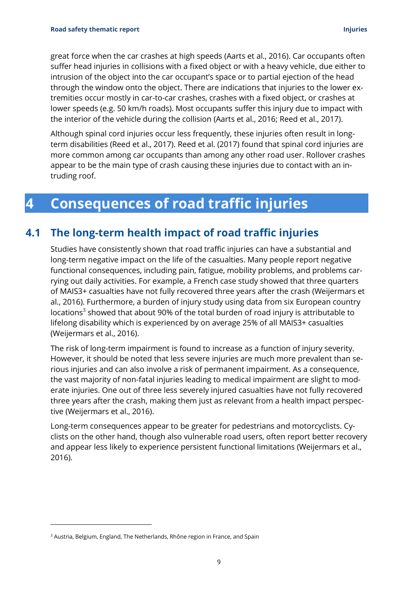great force when the car crashes at high speeds (Aarts et al., 2016). Car occupants often suffer head injuries in collisions with a fixed object or with a heavy vehicle, due either to intrusion of the object into the car occupant's space or to partial ejection of the head through the window onto the object. There are indications that injuries to the lower extremities occur mostly in car-to-car crashes, crashes with a fixed object, or crashes at lower speeds (e.g. 50 km/h roads). Most occupants suffer this injury due to impact with the interior of the vehicle during the collision (Aarts et al., 2016; Reed et al., 2017).

Although spinal cord injuries occur less frequently, these injuries often result in longterm disabilities (Reed et al., 2017). Reed et al. (2017) found that spinal cord injuries are more common among car occupants than among any other road user. Rollover crashes appear to be the main type of crash causing these injuries due to contact with an intruding roof.

## <span id="page-10-0"></span>**4 Consequences of road traffic injuries**

### **4.1 The long-term health impact of road traffic injuries**

<span id="page-10-1"></span>Studies have consistently shown that road traffic injuries can have a substantial and long-term negative impact on the life of the casualties. Many people report negative functional consequences, including pain, fatigue, mobility problems, and problems carrying out daily activities. For example, a French case study showed that three quarters of MAIS3+ casualties have not fully recovered three years after the crash (Weijermars et al., 2016). Furthermore, a burden of injury study using data from six European country locations<sup>3</sup> showed that about 90% of the total burden of road injury is attributable to lifelong disability which is experienced by on average 25% of all MAIS3+ casualties (Weijermars et al., 2016).

The risk of long-term impairment is found to increase as a function of injury severity. However, it should be noted that less severe injuries are much more prevalent than serious injuries and can also involve a risk of permanent impairment. As a consequence, the vast majority of non-fatal injuries leading to medical impairment are slight to moderate injuries. One out of three less severely injured casualties have not fully recovered three years after the crash, making them just as relevant from a health impact perspective (Weijermars et al., 2016).

Long-term consequences appear to be greater for pedestrians and motorcyclists. Cyclists on the other hand, though also vulnerable road users, often report better recovery and appear less likely to experience persistent functional limitations (Weijermars et al., 2016).

<sup>&</sup>lt;sup>3</sup> Austria, Belgium, England, The Netherlands, Rhône region in France, and Spain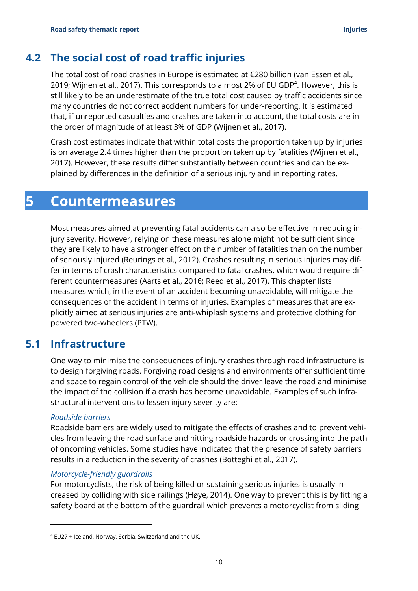### **4.2 The social cost of road traffic injuries**

<span id="page-11-0"></span>The total cost of road crashes in Europe is estimated at  $E$ 280 billion (van Essen et al., 2019; Wijnen et al., 2017). This corresponds to almost 2% of EU GDP<sup>4</sup>. However, this is still likely to be an underestimate of the true total cost caused by traffic accidents since many countries do not correct accident numbers for under-reporting. It is estimated that, if unreported casualties and crashes are taken into account, the total costs are in the order of magnitude of at least 3% of GDP (Wijnen et al., 2017).

Crash cost estimates indicate that within total costs the proportion taken up by injuries is on average 2.4 times higher than the proportion taken up by fatalities (Wijnen et al., 2017). However, these results differ substantially between countries and can be explained by differences in the definition of a serious injury and in reporting rates.

### <span id="page-11-1"></span>**5 Countermeasures**

Most measures aimed at preventing fatal accidents can also be effective in reducing injury severity. However, relying on these measures alone might not be sufficient since they are likely to have a stronger effect on the number of fatalities than on the number of seriously injured (Reurings et al., 2012). Crashes resulting in serious injuries may differ in terms of crash characteristics compared to fatal crashes, which would require different countermeasures (Aarts et al., 2016; Reed et al., 2017). This chapter lists measures which, in the event of an accident becoming unavoidable, will mitigate the consequences of the accident in terms of injuries. Examples of measures that are explicitly aimed at serious injuries are anti-whiplash systems and protective clothing for powered two-wheelers (PTW).

### **5.1 Infrastructure**

<span id="page-11-2"></span>One way to minimise the consequences of injury crashes through road infrastructure is to design forgiving roads. Forgiving road designs and environments offer sufficient time and space to regain control of the vehicle should the driver leave the road and minimise the impact of the collision if a crash has become unavoidable. Examples of such infrastructural interventions to lessen injury severity are:

#### *Roadside barriers*

Roadside barriers are widely used to mitigate the effects of crashes and to prevent vehicles from leaving the road surface and hitting roadside hazards or crossing into the path of oncoming vehicles. Some studies have indicated that the presence of safety barriers results in a reduction in the severity of crashes (Botteghi et al., 2017).

#### *Motorcycle-friendly guardrails*

For motorcyclists, the risk of being killed or sustaining serious injuries is usually increased by colliding with side railings (Høye, 2014). One way to prevent this is by fitting a safety board at the bottom of the guardrail which prevents a motorcyclist from sliding

<sup>4</sup> EU27 + Iceland, Norway, Serbia, Switzerland and the UK.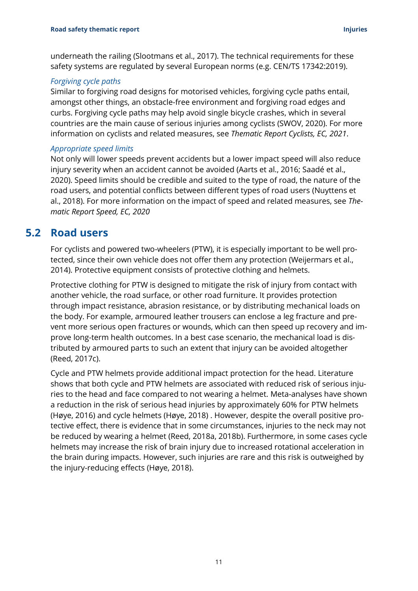underneath the railing (Slootmans et al., 2017). The technical requirements for these safety systems are regulated by several European norms (e.g. CEN/TS 17342:2019).

#### *Forgiving cycle paths*

Similar to forgiving road designs for motorised vehicles, forgiving cycle paths entail, amongst other things, an obstacle-free environment and forgiving road edges and curbs. Forgiving cycle paths may help avoid single bicycle crashes, which in several countries are the main cause of serious injuries among cyclists (SWOV, 2020). For more information on cyclists and related measures, see *Thematic Report Cyclists, EC, 2021*.

#### *Appropriate speed limits*

Not only will lower speeds prevent accidents but a lower impact speed will also reduce injury severity when an accident cannot be avoided (Aarts et al., 2016; Saadé et al., 2020). Speed limits should be credible and suited to the type of road, the nature of the road users, and potential conflicts between different types of road users (Nuyttens et al., 2018). For more information on the impact of speed and related measures, see *Thematic Report Speed, EC, 2020*

### <span id="page-12-0"></span>**5.2 Road users**

For cyclists and powered two-wheelers (PTW), it is especially important to be well protected, since their own vehicle does not offer them any protection (Weijermars et al., 2014). Protective equipment consists of protective clothing and helmets.

Protective clothing for PTW is designed to mitigate the risk of injury from contact with another vehicle, the road surface, or other road furniture. It provides protection through impact resistance, abrasion resistance, or by distributing mechanical loads on the body. For example, armoured leather trousers can enclose a leg fracture and prevent more serious open fractures or wounds, which can then speed up recovery and improve long-term health outcomes. In a best case scenario, the mechanical load is distributed by armoured parts to such an extent that injury can be avoided altogether (Reed, 2017c).

Cycle and PTW helmets provide additional impact protection for the head. Literature shows that both cycle and PTW helmets are associated with reduced risk of serious injuries to the head and face compared to not wearing a helmet. Meta-analyses have shown a reduction in the risk of serious head injuries by approximately 60% for PTW helmets (Høye, 2016) and cycle helmets (Høye, 2018) . However, despite the overall positive protective effect, there is evidence that in some circumstances, injuries to the neck may not be reduced by wearing a helmet (Reed, 2018a, 2018b). Furthermore, in some cases cycle helmets may increase the risk of brain injury due to increased rotational acceleration in the brain during impacts. However, such injuries are rare and this risk is outweighed by the injury-reducing effects (Høye, 2018).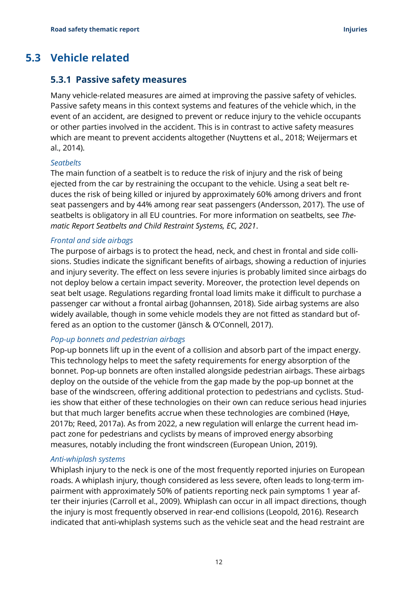### <span id="page-13-0"></span>**5.3 Vehicle related**

#### <span id="page-13-1"></span>**5.3.1 Passive safety measures**

Many vehicle-related measures are aimed at improving the passive safety of vehicles. Passive safety means in this context systems and features of the vehicle which, in the event of an accident, are designed to prevent or reduce injury to the vehicle occupants or other parties involved in the accident. This is in contrast to active safety measures which are meant to prevent accidents altogether (Nuyttens et al., 2018; Weijermars et al., 2014).

#### *Seatbelts*

The main function of a seatbelt is to reduce the risk of injury and the risk of being ejected from the car by restraining the occupant to the vehicle. Using a seat belt reduces the risk of being killed or injured by approximately 60% among drivers and front seat passengers and by 44% among rear seat passengers (Andersson, 2017). The use of seatbelts is obligatory in all EU countries. For more information on seatbelts, see *Thematic Report Seatbelts and Child Restraint Systems, EC, 2021*.

#### *Frontal and side airbags*

The purpose of airbags is to protect the head, neck, and chest in frontal and side collisions. Studies indicate the significant benefits of airbags, showing a reduction of injuries and injury severity. The effect on less severe injuries is probably limited since airbags do not deploy below a certain impact severity. Moreover, the protection level depends on seat belt usage. Regulations regarding frontal load limits make it difficult to purchase a passenger car without a frontal airbag (Johannsen, 2018). Side airbag systems are also widely available, though in some vehicle models they are not fitted as standard but offered as an option to the customer (Jänsch & O'Connell, 2017).

#### *Pop-up bonnets and pedestrian airbags*

Pop-up bonnets lift up in the event of a collision and absorb part of the impact energy. This technology helps to meet the safety requirements for energy absorption of the bonnet. Pop-up bonnets are often installed alongside pedestrian airbags. These airbags deploy on the outside of the vehicle from the gap made by the pop-up bonnet at the base of the windscreen, offering additional protection to pedestrians and cyclists. Studies show that either of these technologies on their own can reduce serious head injuries but that much larger benefits accrue when these technologies are combined (Høye, 2017b; Reed, 2017a). As from 2022, a new regulation will enlarge the current head impact zone for pedestrians and cyclists by means of improved energy absorbing measures, notably including the front windscreen (European Union, 2019).

#### *Anti-whiplash systems*

Whiplash injury to the neck is one of the most frequently reported injuries on European roads. A whiplash injury, though considered as less severe, often leads to long-term impairment with approximately 50% of patients reporting neck pain symptoms 1 year after their injuries (Carroll et al., 2009). Whiplash can occur in all impact directions, though the injury is most frequently observed in rear-end collisions (Leopold, 2016). Research indicated that anti-whiplash systems such as the vehicle seat and the head restraint are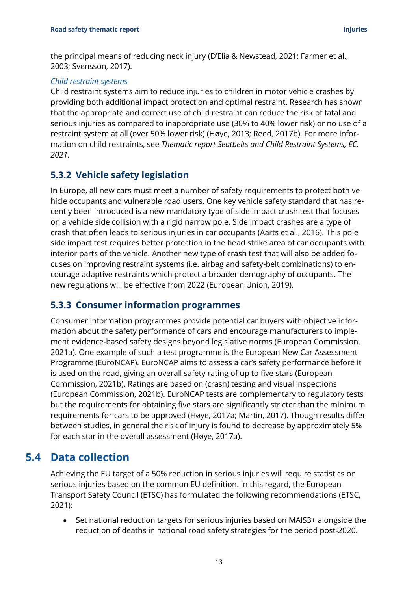the principal means of reducing neck injury (D'Elia & Newstead, 2021; Farmer et al., 2003; Svensson, 2017).

#### *Child restraint systems*

Child restraint systems aim to reduce injuries to children in motor vehicle crashes by providing both additional impact protection and optimal restraint. Research has shown that the appropriate and correct use of child restraint can reduce the risk of fatal and serious injuries as compared to inappropriate use (30% to 40% lower risk) or no use of a restraint system at all (over 50% lower risk) (Høye, 2013; Reed, 2017b). For more information on child restraints, see *Thematic report Seatbelts and Child Restraint Systems, EC, 2021*.

#### <span id="page-14-0"></span>**5.3.2 Vehicle safety legislation**

In Europe, all new cars must meet a number of safety requirements to protect both vehicle occupants and vulnerable road users. One key vehicle safety standard that has recently been introduced is a new mandatory type of side impact crash test that focuses on a vehicle side collision with a rigid narrow pole. Side impact crashes are a type of crash that often leads to serious injuries in car occupants (Aarts et al., 2016). This pole side impact test requires better protection in the head strike area of car occupants with interior parts of the vehicle. Another new type of crash test that will also be added focuses on improving restraint systems (i.e. airbag and safety-belt combinations) to encourage adaptive restraints which protect a broader demography of occupants. The new regulations will be effective from 2022 (European Union, 2019).

#### <span id="page-14-1"></span>**5.3.3 Consumer information programmes**

Consumer information programmes provide potential car buyers with objective information about the safety performance of cars and encourage manufacturers to implement evidence-based safety designs beyond legislative norms (European Commission, 2021a). One example of such a test programme is the European New Car Assessment Programme (EuroNCAP). EuroNCAP aims to assess a car's safety performance before it is used on the road, giving an overall safety rating of up to five stars (European Commission, 2021b). Ratings are based on (crash) testing and visual inspections (European Commission, 2021b). EuroNCAP tests are complementary to regulatory tests but the requirements for obtaining five stars are significantly stricter than the minimum requirements for cars to be approved (Høye, 2017a; Martin, 2017). Though results differ between studies, in general the risk of injury is found to decrease by approximately 5% for each star in the overall assessment (Høye, 2017a).

### <span id="page-14-2"></span>**5.4 Data collection**

Achieving the EU target of a 50% reduction in serious injuries will require statistics on serious injuries based on the common EU definition. In this regard, the European Transport Safety Council (ETSC) has formulated the following recommendations (ETSC, 2021):

• Set national reduction targets for serious injuries based on MAIS3+ alongside the reduction of deaths in national road safety strategies for the period post-2020.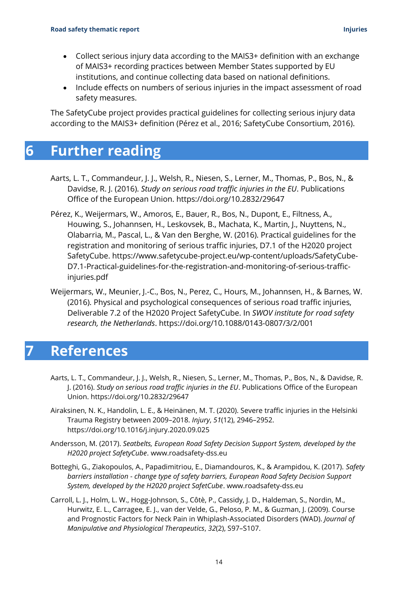- Collect serious injury data according to the MAIS3+ definition with an exchange of MAIS3+ recording practices between Member States supported by EU institutions, and continue collecting data based on national definitions.
- Include effects on numbers of serious injuries in the impact assessment of road safety measures.

<span id="page-15-0"></span>The SafetyCube project provides practical guidelines for collecting serious injury data according to the MAIS3+ definition (Pérez et al., 2016; SafetyCube Consortium, 2016).

# **6 Further reading**

- Aarts, L. T., Commandeur, J. J., Welsh, R., Niesen, S., Lerner, M., Thomas, P., Bos, N., & Davidse, R. J. (2016). *Study on serious road traffic injuries in the EU*. Publications Office of the European Union.<https://doi.org/10.2832/29647>
- Pérez, K., Weijermars, W., Amoros, E., Bauer, R., Bos, N., Dupont, E., Filtness, A., Houwing, S., Johannsen, H., Leskovsek, B., Machata, K., Martin, J., Nuyttens, N., Olabarria, M., Pascal, L., & Van den Berghe, W. (2016). Practical guidelines for the registration and monitoring of serious traffic injuries, D7.1 of the H2020 project SafetyCube. https://www.safetycube-project.eu/wp-content/uploads/SafetyCube-D7.1-Practical-guidelines-for-the-registration-and-monitoring-of-serious-trafficinjuries.pdf
- Weijermars, W., Meunier, J.-C., Bos, N., Perez, C., Hours, M., Johannsen, H., & Barnes, W. (2016). Physical and psychological consequences of serious road traffic injuries, Deliverable 7.2 of the H2020 Project SafetyCube. In *SWOV institute for road safety research, the Netherlands*. https://doi.org/10.1088/0143-0807/3/2/001

## <span id="page-15-1"></span>**7 References**

- Aarts, L. T., Commandeur, J. J., Welsh, R., Niesen, S., Lerner, M., Thomas, P., Bos, N., & Davidse, R. J. (2016). *Study on serious road traffic injuries in the EU*. Publications Office of the European Union. https://doi.org/10.2832/29647
- Airaksinen, N. K., Handolin, L. E., & Heinänen, M. T. (2020). Severe traffic injuries in the Helsinki Trauma Registry between 2009–2018. *Injury*, *51*(12), 2946–2952. https://doi.org/10.1016/j.injury.2020.09.025
- Andersson, M. (2017). *Seatbelts, European Road Safety Decision Support System, developed by the H2020 project SafetyCube*. www.roadsafety-dss.eu
- Botteghi, G., Ziakopoulos, A., Papadimitriou, E., Diamandouros, K., & Arampidou, K. (2017). *Safety barriers installation - change type of safety barriers, European Road Safety Decision Support System, developed by the H2020 project SafetCube*. www.roadsafety-dss.eu
- Carroll, L. J., Holm, L. W., Hogg-Johnson, S., Côtè, P., Cassidy, J. D., Haldeman, S., Nordin, M., Hurwitz, E. L., Carragee, E. J., van der Velde, G., Peloso, P. M., & Guzman, J. (2009). Course and Prognostic Factors for Neck Pain in Whiplash-Associated Disorders (WAD). *Journal of Manipulative and Physiological Therapeutics*, *32*(2), S97–S107.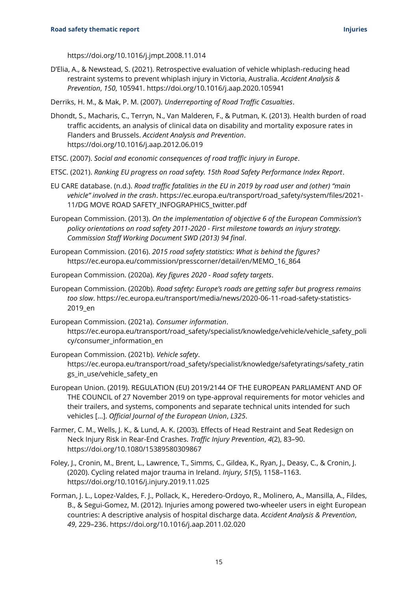https://doi.org/10.1016/j.jmpt.2008.11.014

- D'Elia, A., & Newstead, S. (2021). Retrospective evaluation of vehicle whiplash-reducing head restraint systems to prevent whiplash injury in Victoria, Australia. *Accident Analysis & Prevention*, *150*, 105941. https://doi.org/10.1016/j.aap.2020.105941
- Derriks, H. M., & Mak, P. M. (2007). *Underreporting of Road Traffic Casualties*.
- Dhondt, S., Macharis, C., Terryn, N., Van Malderen, F., & Putman, K. (2013). Health burden of road traffic accidents, an analysis of clinical data on disability and mortality exposure rates in Flanders and Brussels. *Accident Analysis and Prevention*. https://doi.org/10.1016/j.aap.2012.06.019
- ETSC. (2007). *Social and economic consequences of road traffic injury in Europe*.
- ETSC. (2021). *Ranking EU progress on road safety. 15th Road Safety Performance Index Report*.
- EU CARE database. (n.d.). *Road traffic fatalities in the EU in 2019 by road user and (other) "main vehicle" involved in the crash*. https://ec.europa.eu/transport/road\_safety/system/files/2021- 11/DG MOVE ROAD SAFETY\_INFOGRAPHICS\_twitter.pdf
- European Commission. (2013). *On the implementation of objective 6 of the European Commission's policy orientations on road safety 2011-2020 - First milestone towards an injury strategy. Commission Staff Working Document SWD (2013) 94 final*.
- European Commission. (2016). *2015 road safety statistics: What is behind the figures?* https://ec.europa.eu/commission/presscorner/detail/en/MEMO\_16\_864
- European Commission. (2020a). *Key figures 2020 - Road safety targets*.
- European Commission. (2020b). *Road safety: Europe's roads are getting safer but progress remains too slow*. https://ec.europa.eu/transport/media/news/2020-06-11-road-safety-statistics-2019\_en
- European Commission. (2021a). *Consumer information*. https://ec.europa.eu/transport/road\_safety/specialist/knowledge/vehicle/vehicle\_safety\_poli cy/consumer\_information\_en
- European Commission. (2021b). *Vehicle safety*. https://ec.europa.eu/transport/road\_safety/specialist/knowledge/safetyratings/safety\_ratin gs in use/vehicle safety en
- European Union. (2019). REGULATION (EU) 2019/2144 OF THE EUROPEAN PARLIAMENT AND OF THE COUNCIL of 27 November 2019 on type-approval requirements for motor vehicles and their trailers, and systems, components and separate technical units intended for such vehicles [...]. *Official Journal of the European Union*, *L325*.
- Farmer, C. M., Wells, J. K., & Lund, A. K. (2003). Effects of Head Restraint and Seat Redesign on Neck Injury Risk in Rear-End Crashes. *Traffic Injury Prevention*, *4*(2), 83–90. https://doi.org/10.1080/15389580309867
- Foley, J., Cronin, M., Brent, L., Lawrence, T., Simms, C., Gildea, K., Ryan, J., Deasy, C., & Cronin, J. (2020). Cycling related major trauma in Ireland. *Injury*, *51*(5), 1158–1163. https://doi.org/10.1016/j.injury.2019.11.025
- Forman, J. L., Lopez-Valdes, F. J., Pollack, K., Heredero-Ordoyo, R., Molinero, A., Mansilla, A., Fildes, B., & Segui-Gomez, M. (2012). Injuries among powered two-wheeler users in eight European countries: A descriptive analysis of hospital discharge data. *Accident Analysis & Prevention*, *49*, 229–236. https://doi.org/10.1016/j.aap.2011.02.020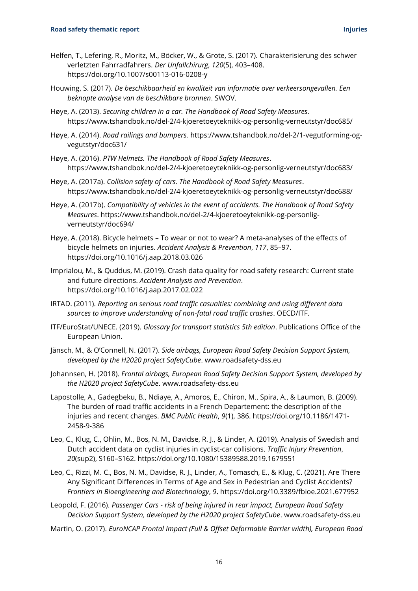- Helfen, T., Lefering, R., Moritz, M., Böcker, W., & Grote, S. (2017). Charakterisierung des schwer verletzten Fahrradfahrers. *Der Unfallchirurg*, *120*(5), 403–408. https://doi.org/10.1007/s00113-016-0208-y
- Houwing, S. (2017). *De beschikbaarheid en kwaliteit van informatie over verkeersongevallen. Een beknopte analyse van de beschikbare bronnen*. SWOV.
- Høye, A. (2013). *Securing children in a car. The Handbook of Road Safety Measures*. https://www.tshandbok.no/del-2/4-kjoeretoeyteknikk-og-personlig-verneutstyr/doc685/
- Høye, A. (2014). *Road railings and bumpers.* https://www.tshandbok.no/del-2/1-vegutforming-ogvegutstyr/doc631/
- Høye, A. (2016). *PTW Helmets. The Handbook of Road Safety Measures*. https://www.tshandbok.no/del-2/4-kjoeretoeyteknikk-og-personlig-verneutstyr/doc683/
- Høye, A. (2017a). *Collision safety of cars. The Handbook of Road Safety Measures*. https://www.tshandbok.no/del-2/4-kjoeretoeyteknikk-og-personlig-verneutstyr/doc688/
- Høye, A. (2017b). *Compatibility of vehicles in the event of accidents. The Handbook of Road Safety Measures*. https://www.tshandbok.no/del-2/4-kjoeretoeyteknikk-og-personligverneutstyr/doc694/
- Høye, A. (2018). Bicycle helmets To wear or not to wear? A meta-analyses of the effects of bicycle helmets on injuries. *Accident Analysis & Prevention*, *117*, 85–97. https://doi.org/10.1016/j.aap.2018.03.026
- Imprialou, M., & Quddus, M. (2019). Crash data quality for road safety research: Current state and future directions. *Accident Analysis and Prevention*. https://doi.org/10.1016/j.aap.2017.02.022
- IRTAD. (2011). *Reporting on serious road traffic casualties: combining and using different data sources to improve understanding of non-fatal road traffic crashes*. OECD/ITF.
- ITF/EuroStat/UNECE. (2019). *Glossary for transport statistics 5th edition*. Publications Office of the European Union.
- Jänsch, M., & O'Connell, N. (2017). *Side airbags, European Road Safety Decision Support System, developed by the H2020 project SafetyCube*. www.roadsafety-dss.eu
- Johannsen, H. (2018). *Frontal airbags, European Road Safety Decision Support System, developed by the H2020 project SafetyCube*. www.roadsafety-dss.eu
- Lapostolle, A., Gadegbeku, B., Ndiaye, A., Amoros, E., Chiron, M., Spira, A., & Laumon, B. (2009). The burden of road traffic accidents in a French Departement: the description of the injuries and recent changes. *BMC Public Health*, *9*(1), 386. https://doi.org/10.1186/1471- 2458-9-386
- Leo, C., Klug, C., Ohlin, M., Bos, N. M., Davidse, R. J., & Linder, A. (2019). Analysis of Swedish and Dutch accident data on cyclist injuries in cyclist-car collisions. *Traffic Injury Prevention*, *20*(sup2), S160–S162. https://doi.org/10.1080/15389588.2019.1679551
- Leo, C., Rizzi, M. C., Bos, N. M., Davidse, R. J., Linder, A., Tomasch, E., & Klug, C. (2021). Are There Any Significant Differences in Terms of Age and Sex in Pedestrian and Cyclist Accidents? *Frontiers in Bioengineering and Biotechnology*, *9*. https://doi.org/10.3389/fbioe.2021.677952
- Leopold, F. (2016). *Passenger Cars - risk of being injured in rear impact, European Road Safety Decision Support System, developed by the H2020 project SafetyCube*. www.roadsafety-dss.eu
- Martin, O. (2017). *EuroNCAP Frontal Impact (Full & Offset Deformable Barrier width), European Road*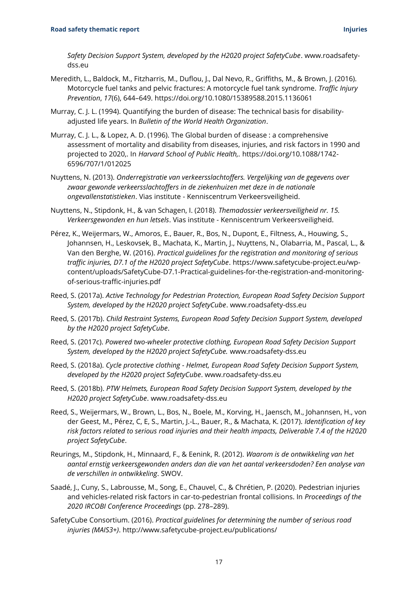*Safety Decision Support System, developed by the H2020 project SafetyCube*. www.roadsafetydss.eu

- Meredith, L., Baldock, M., Fitzharris, M., Duflou, J., Dal Nevo, R., Griffiths, M., & Brown, J. (2016). Motorcycle fuel tanks and pelvic fractures: A motorcycle fuel tank syndrome. *Traffic Injury Prevention*, *17*(6), 644–649. https://doi.org/10.1080/15389588.2015.1136061
- Murray, C. J. L. (1994). Quantifying the burden of disease: The technical basis for disabilityadjusted life years. In *Bulletin of the World Health Organization*.
- Murray, C. J. L., & Lopez, A. D. (1996). The Global burden of disease : a comprehensive assessment of mortality and disability from diseases, injuries, and risk factors in 1990 and projected to 2020,. In *Harvard School of Public Health,.* https://doi.org/10.1088/1742- 6596/707/1/012025
- Nuyttens, N. (2013). *Onderregistratie van verkeersslachtoffers. Vergelijking van de gegevens over zwaar gewonde verkeersslachtoffers in de ziekenhuizen met deze in de nationale ongevallenstatistieken*. Vias institute - Kenniscentrum Verkeersveiligheid.
- Nuyttens, N., Stipdonk, H., & van Schagen, I. (2018). *Themadossier verkeersveiligheid nr. 15. Verkeersgewonden en hun letsels*. Vias institute - Kenniscentrum Verkeersveiligheid.
- Pérez, K., Weijermars, W., Amoros, E., Bauer, R., Bos, N., Dupont, E., Filtness, A., Houwing, S., Johannsen, H., Leskovsek, B., Machata, K., Martin, J., Nuyttens, N., Olabarria, M., Pascal, L., & Van den Berghe, W. (2016). *Practical guidelines for the registration and monitoring of serious traffic injuries, D7.1 of the H2020 project SafetyCube*. https://www.safetycube-project.eu/wpcontent/uploads/SafetyCube-D7.1-Practical-guidelines-for-the-registration-and-monitoringof-serious-traffic-injuries.pdf
- Reed, S. (2017a). *Active Technology for Pedestrian Protection, European Road Safety Decision Support System, developed by the H2020 project SafetyCube*. www.roadsafety-dss.eu
- Reed, S. (2017b). *Child Restraint Systems, European Road Safety Decision Support System, developed by the H2020 project SafetyCube*.
- Reed, S. (2017c). *Powered two-wheeler protective clothing, European Road Safety Decision Support System, developed by the H2020 project SafetyCube.* www.roadsafety-dss.eu
- Reed, S. (2018a). *Cycle protective clothing - Helmet, European Road Safety Decision Support System, developed by the H2020 project SafetyCube*. www.roadsafety-dss.eu
- Reed, S. (2018b). *PTW Helmets, European Road Safety Decision Support System, developed by the H2020 project SafetyCube*. www.roadsafety-dss.eu
- Reed, S., Weijermars, W., Brown, L., Bos, N., Boele, M., Korving, H., Jaensch, M., Johannsen, H., von der Geest, M., Pérez, C, E, S., Martin, J.-L., Bauer, R., & Machata, K. (2017). *Identification of key risk factors related to serious road injuries and their health impacts, Deliverable 7.4 of the H2020 project SafetyCube*.
- Reurings, M., Stipdonk, H., Minnaard, F., & Eenink, R. (2012). *Waarom is de ontwikkeling van het aantal ernstig verkeersgewonden anders dan die van het aantal verkeersdoden? Een analyse van de verschillen in ontwikkeling*. SWOV.
- Saadé, J., Cuny, S., Labrousse, M., Song, E., Chauvel, C., & Chrétien, P. (2020). Pedestrian injuries and vehicles-related risk factors in car-to-pedestrian frontal collisions. In *Proceedings of the 2020 IRCOBI Conference Proceedings* (pp. 278–289).
- SafetyCube Consortium. (2016). *Practical guidelines for determining the number of serious road injuries (MAIS3+)*. http://www.safetycube-project.eu/publications/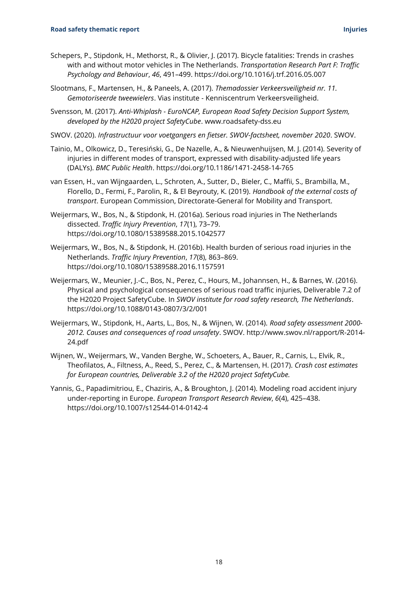- Schepers, P., Stipdonk, H., Methorst, R., & Olivier, J. (2017). Bicycle fatalities: Trends in crashes with and without motor vehicles in The Netherlands. *Transportation Research Part F: Traffic Psychology and Behaviour*, *46*, 491–499. https://doi.org/10.1016/j.trf.2016.05.007
- Slootmans, F., Martensen, H., & Paneels, A. (2017). *Themadossier Verkeersveiligheid nr. 11. Gemotoriseerde tweewielers*. Vias institute - Kenniscentrum Verkeersveiligheid.
- Svensson, M. (2017). *Anti-Whiplash - EuroNCAP, European Road Safety Decision Support System, developed by the H2020 project SafetyCube*. www.roadsafety-dss.eu
- SWOV. (2020). *Infrastructuur voor voetgangers en fietser. SWOV-factsheet, november 2020*. SWOV.
- Tainio, M., Olkowicz, D., Teresiński, G., De Nazelle, A., & Nieuwenhuijsen, M. J. (2014). Severity of injuries in different modes of transport, expressed with disability-adjusted life years (DALYs). *BMC Public Health*. https://doi.org/10.1186/1471-2458-14-765
- van Essen, H., van Wijngaarden, L., Schroten, A., Sutter, D., Bieler, C., Maffii, S., Brambilla, M., Florello, D., Fermi, F., Parolin, R., & El Beyrouty, K. (2019). *Handbook of the external costs of transport*. European Commission, Directorate-General for Mobility and Transport.
- Weijermars, W., Bos, N., & Stipdonk, H. (2016a). Serious road injuries in The Netherlands dissected. *Traffic Injury Prevention*, *17*(1), 73–79. https://doi.org/10.1080/15389588.2015.1042577
- Weijermars, W., Bos, N., & Stipdonk, H. (2016b). Health burden of serious road injuries in the Netherlands. *Traffic Injury Prevention*, *17*(8), 863–869. https://doi.org/10.1080/15389588.2016.1157591
- Weijermars, W., Meunier, J.-C., Bos, N., Perez, C., Hours, M., Johannsen, H., & Barnes, W. (2016). Physical and psychological consequences of serious road traffic injuries, Deliverable 7.2 of the H2020 Project SafetyCube. In *SWOV institute for road safety research, The Netherlands*. https://doi.org/10.1088/0143-0807/3/2/001
- Weijermars, W., Stipdonk, H., Aarts, L., Bos, N., & Wijnen, W. (2014). *Road safety assessment 2000- 2012. Causes and consequences of road unsafety*. SWOV. http://www.swov.nl/rapport/R-2014- 24.pdf
- Wijnen, W., Weijermars, W., Vanden Berghe, W., Schoeters, A., Bauer, R., Carnis, L., Elvik, R., Theofilatos, A., Filtness, A., Reed, S., Perez, C., & Martensen, H. (2017). *Crash cost estimates for European countries, Deliverable 3.2 of the H2020 project SafetyCube.*
- Yannis, G., Papadimitriou, E., Chaziris, A., & Broughton, J. (2014). Modeling road accident injury under-reporting in Europe. *European Transport Research Review*, *6*(4), 425–438. https://doi.org/10.1007/s12544-014-0142-4